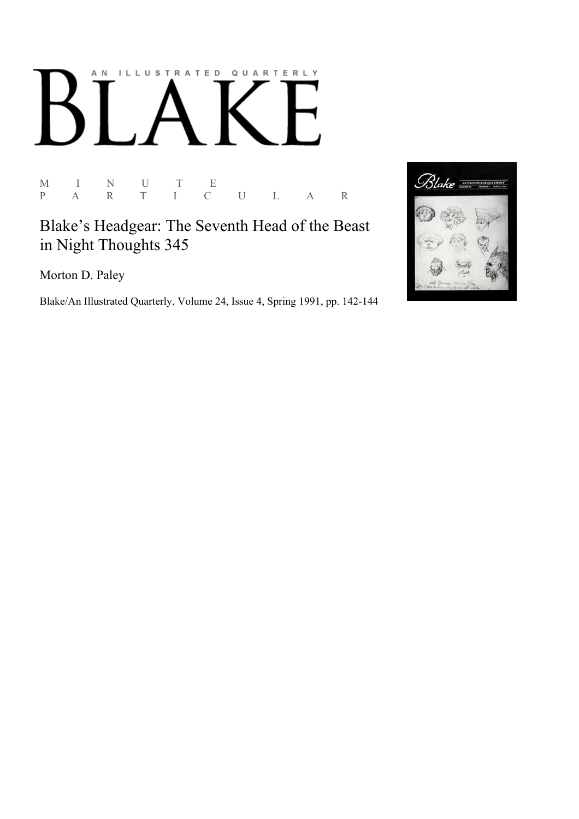## AN ILLUSTRATED QUARTERLY

M I N U T E P A R T I C U L A R

Blake's Headgear: The Seventh Head of the Beast in Night Thoughts 345

Morton D. Paley

Blake/An Illustrated Quarterly, Volume 24, Issue 4, Spring 1991, pp. 142-144

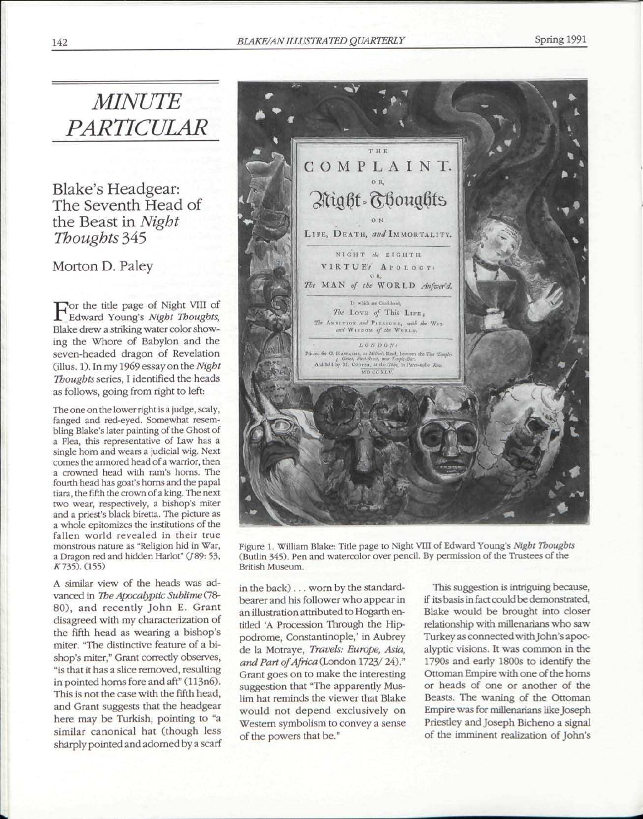## 142 *BLAKE/AN ILLUSTRATED QUARTERLY* Spring 1991

*MINUTE PARTICULAR* 

Blake's Headgear: The Seventh Head of the Beast in *Night Thoughts* 345

Morton D. Paley

For the title page of Night VIII of<br>Edward Young's Night Thoughts, Edward Young's *Night Thoughts,*  Blake drew a striking water color showing the Whore of Babylon and the seven-headed dragon of Revelation (illus. 1). In my 1969 essay on the *Night Thoughts* series, I identified the heads as follows, going from right to left:

The one on the lower right is a judge, scaly, fanged and red-eyed. Somewhat resembling Blake's later painting of the Ghost of a Flea, this representative of Law has a single horn and wears a judicial wig. Next comes the armored head of a warrior, then a crowned head with ram's horns. The fourth head has goat's horns and the papal tiara, the fifth the crown of a king. The next two wear, respectively, a bishop's miter and a priest's black biretta. The picture as a whole epitomizes the institutions of the fallen world revealed in their true monstrous nature as "Religion hid in War, a Dragon red and hidden Harlot" (/89: 53, K735). (155)

A similar view of the heads was advanced in *The Apocalyptic Sublime*(78- 80), and recently John E. Grant disagreed with my characterization of the fifth head as wearing a bishop's miter. "The distinctive feature of a bishop's miter," Grant correctly observes, "is that it has a slice removed, resulting in pointed horns fore and aft" (113n6). This is not the case with the fifth head, and Grant suggests that the headgear here may be Turkish, pointing to "a similar canonical hat (though less sharply pointed and adorned by a scarf



Figure 1. William Blake: Title page to Night VIII of Edward Young's *Night Thoughts*  (Butlin 345). Pen and watercolor over pencil. By permission of the Trustees of the British Museum.

in the back) . .. worn by the standardbearer and his follower who appear in an illustration attributed to Hogarth entitled 'A Procession Through the Hippodrome, Constantinople,' in Aubrey de la Motraye, *Travels: Europe, Asia, and Part of Africa* (London 1723/ 24)." Grant goes on to make the interesting suggestion that "The apparently Muslim hat reminds the viewer that Blake would not depend exclusively on Western symbolism to convey a sense of the powers that be."

This suggestion is intriguing because, if its basis in fact could be demonstrated, Blake would be brought into closer relationship with millenarians who saw Turkey as connected with John's apocalyptic visions. It was common in the 1790s and early 1800s to identify the Ottoman Empire with one of the horns or heads of one or another of the Beasts. The waning of the Ottoman Empire was for millenarians like Joseph Priestley and Joseph Bicheno a signal of the imminent realization of John's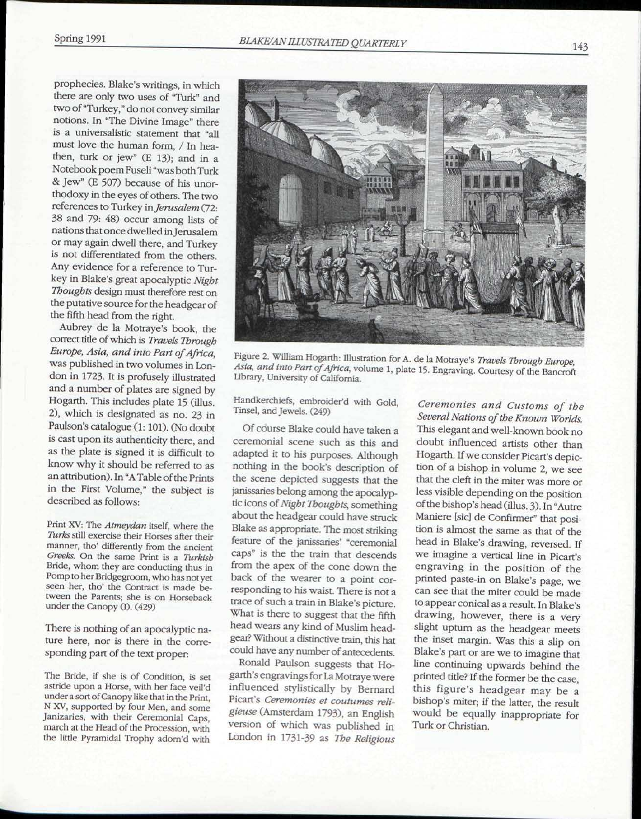prophecies. Blake's writings, in which there are only two uses of "Turk" and two of "Turkey," do not convey similar notions. In "The Divine Image" there is a universalistic statement that "all must love the human form, / In heathen, turk or jew" (E 13); and in a Notebook poem Fuseli "was both Turk & Jew" (E 507) because of his unorthodoxy in the eyes of others. The two references to Turkey *in Jerusalem* (72: 38 and 79: 48) occur among lists of nations that once dwelled in Jerusalem or may again dwell there, and Turkey is not differentiated from the others. Any evidence for a reference to Turkey in Blake's great apocalyptic *Night Thoughts* design must therefore rest on the putative source for the headgear of the fifth head from the right.

Aubrey de la Motraye's book, the correct title of which is *Travels Through Europe, Asia, and into Part of Africa,*  was published in two volumes in London in 1723. It is profusely illustrated and a number of plates are signed by Hogarth. This includes plate 15 (illus. 2), which is designated as no. 23 in Paulson's catalogue (1:101). (No doubt is cast upon its authenticity there, and as the plate is signed it is difficult to know why it should be referred to as an attribution). In "A Table of the Prints in the First Volume," the subject is described as follows:

Print XV: The *Atmeydan* itself, where the *Turks* still exercise their Horses after their manner, tho' differently from the ancient *Greeks.* On the same Print is a *Turkish*  Bride, whom they are conducting thus in Pomp to her Bridgegroom, who has not yet seen her, tho' the Contract is made between the Parents; she is on Horseback under the Canopy (I). (429)

There is nothing of an apocalyptic nature here, nor is there in the corresponding part of the text proper:

The Bride, if she is of Condition, is set astride upon a Horse, with her face veil'd under a sort of Canopy like that in the Print, N XV, supported by four Men, and some Janizaries, with their Ceremonial Caps, march at the Head of the Procession, with the little Pyramidal Trophy adom'd with



Figure 2. William Hogarth: Illustration for A. de la Motraye's *Travels Through Europe Asia, and into Part of Africa,* volume 1, plate 15. Engraving. Courtesy of the Bancroft Library, University of California.

Handkerchiefs, embroider'd with Gold, Tinsel, and Jewels. (249)

Of course Blake could have taken a ceremonial scene such as this and adapted it to his purposes. Although nothing in the book's description of the scene depicted suggests that the janissaries belong among the apocalyptic icons of *Night Thoughts,* something about the headgear could have struck Blake as appropriate. The most striking feature of the janissaries' "ceremonial caps" is the the train that descends from the apex of the cone down the back of the wearer to a point corresponding to his waist. There is not a trace of such a train in Blake's picture. What is there to suggest that the fifth head wears any kind of Muslim headgear? Without a distinctive train, this hat could have any number of antecedents.

Ronald Paulson suggests that Hogarth's engravings for La Motraye were influenced stylistically by Bernard Picart's *Ceremonies et coutumes religieuse* (Amsterdam 1793), an English version of which was published in London in 1731-39 as *The Religious* 

*Ceremonies and Customs of the Several Nations of the Known Worlds.*  This elegant and well-known book no doubt influenced artists other than Hogarth. If we consider Picart's depiction of a bishop in volume 2, we see that the cleft in the miter was more or less visible depending on the position of the bishop's head (illus. 3). In "Autre Maniere [sic] de Confirmer" that position is almost the same as that of the head in Blake's drawing, reversed. If we imagine a vertical line in Picart's engraving in the position of the printed paste-in on Blake's page, we can see that the miter could be made to appear conical as a result. In Blake's drawing, however, there is a very slight upturn as the headgear meets the inset margin. Was this a slip on Blake's part or are we to imagine that line continuing upwards behind the printed title? If the former be the case, this figure's headgear may be a bishop's miter; if the latter, the result would be equally inappropriate for Turk or Christian.